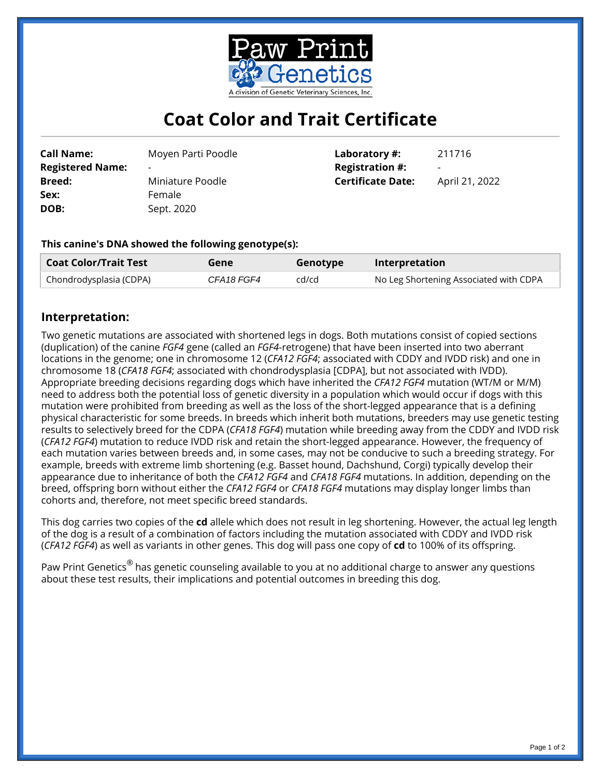

# **Coat Color and Trait Certificate**

**Call Name:** Moyen Parti Poodle **Registered Name: Breed:** Miniature Poodle Sex: Female **DOB:** Sept. 2020

**Laboratory #:** 211716 **Registration #: Certificate Date:** April 21, 2022

## **This canine's DNA showed the following genotype(s):**

| <b>Coat Color/Trait Test</b> | Gene       | Genotype | Interpretation                         |
|------------------------------|------------|----------|----------------------------------------|
| Chondrodysplasia (CDPA)      | CFA18 FGF4 | cd/cd    | No Leg Shortening Associated with CDPA |

## **Interpretation:**

Two genetic mutations are associated with shortened legs in dogs. Both mutations consist of copied sections (duplication) of the canine *FGF4* gene (called an *FGF4*-retrogene) that have been inserted into two aberrant locations in the genome; one in chromosome 12 (*CFA12 FGF4*; associated with CDDY and IVDD risk) and one in chromosome 18 (*CFA18 FGF4*; associated with chondrodysplasia [CDPA], but not associated with IVDD). Appropriate breeding decisions regarding dogs which have inherited the *CFA12 FGF4* mutation (WT/M or M/M) need to address both the potential loss of genetic diversity in a population which would occur if dogs with this mutation were prohibited from breeding as well as the loss of the short-legged appearance that is a defining physical characteristic for some breeds. In breeds which inherit both mutations, breeders may use genetic testing results to selectively breed for the CDPA (*CFA18 FGF4*) mutation while breeding away from the CDDY and IVDD risk (*CFA12 FGF4*) mutation to reduce IVDD risk and retain the short-legged appearance. However, the frequency of each mutation varies between breeds and, in some cases, may not be conducive to such a breeding strategy. For example, breeds with extreme limb shortening (e.g. Basset hound, Dachshund, Corgi) typically develop their appearance due to inheritance of both the *CFA12 FGF4* and *CFA18 FGF4* mutations. In addition, depending on the breed, offspring born without either the *CFA12 FGF4* or *CFA18 FGF4* mutations may display longer limbs than cohorts and, therefore, not meet specific breed standards.

This dog carries two copies of the **cd** allele which does not result in leg shortening. However, the actual leg length of the dog is a result of a combination of factors including the mutation associated with CDDY and IVDD risk (*CFA12 FGF4*) as well as variants in other genes. This dog will pass one copy of **cd** to 100% of its offspring.

Paw Print Genetics<sup>®</sup> has genetic counseling available to you at no additional charge to answer any questions about these test results, their implications and potential outcomes in breeding this dog.